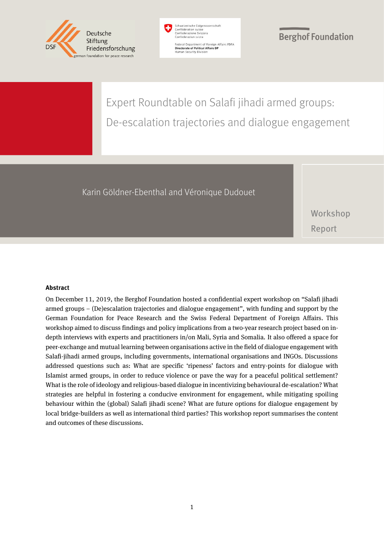



Federal Department of Foreign Affairs FDFA<br>Directorate of Political Affairs DP Human Security Division

#### **Berghof Foundation**

## Expert Roundtable on Salafi jihadi armed groups: De-escalation trajectories and dialogue engagement

#### Karin Göldner-Ebenthal and Véronique Dudouet

Workshop Report

#### **Abstract**

On December 11, 2019, the Berghof Foundation hosted a confidential expert workshop on "Salafi jihadi armed groups – (De)escalation trajectories and dialogue engagement", with funding and support by the German Foundation for Peace Research and the Swiss Federal Department of Foreign Affairs. This workshop aimed to discuss findings and policy implications from a two-year research project based on indepth interviews with experts and practitioners in/on Mali, Syria and Somalia. It also offered a space for peer-exchange and mutual learning between organisations active in the field of dialogue engagement with Salafi-jihadi armed groups, including governments, international organisations and INGOs. Discussions addressed questions such as: What are specific 'ripeness' factors and entry-points for dialogue with Islamist armed groups, in order to reduce violence or pave the way for a peaceful political settlement? What is the role of ideology and religious-based dialogue in incentivizing behavioural de-escalation? What strategies are helpful in fostering a conducive environment for engagement, while mitigating spoiling behaviour within the (global) Salafi jihadi scene? What are future options for dialogue engagement by local bridge-builders as well as international third parties? This workshop report summarises the content and outcomes of these discussions.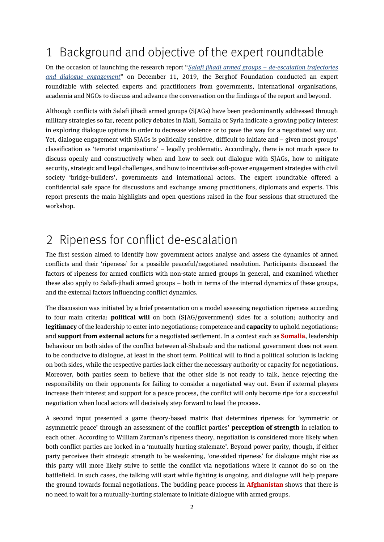## 1 Background and objective of the expert roundtable

On the occasion of launching the research report "*[Salafi jihadi armed groups](https://www.berghof-foundation.org/fileadmin/user_upload/BF_Dialogue_with_Salafi_jihadi_armed_groups_V1.1.pdf) – de-escalation trajectories [and dialogue engagement](https://www.berghof-foundation.org/fileadmin/user_upload/BF_Dialogue_with_Salafi_jihadi_armed_groups_V1.1.pdf)*" on December 11, 2019, the Berghof Foundation conducted an expert roundtable with selected experts and practitioners from governments, international organisations, academia and NGOs to discuss and advance the conversation on the findings of the report and beyond.

Although conflicts with Salafi jihadi armed groups (SJAGs) have been predominantly addressed through military strategies so far, recent policy debates in Mali, Somalia or Syria indicate a growing policy interest in exploring dialogue options in order to decrease violence or to pave the way for a negotiated way out. Yet, dialogue engagement with SJAGs is politically sensitive, difficult to initiate and – given most groups' classification as 'terrorist organisations' – legally problematic. Accordingly, there is not much space to discuss openly and constructively when and how to seek out dialogue with SJAGs, how to mitigate security, strategic and legal challenges, and how to incentivise soft-power engagement strategies with civil society 'bridge-builders', governments and international actors. The expert roundtable offered a confidential safe space for discussions and exchange among practitioners, diplomats and experts. This report presents the main highlights and open questions raised in the four sessions that structured the workshop.

### 2 Ripeness for conflict de-escalation

The first session aimed to identify how government actors analyse and assess the dynamics of armed conflicts and their 'ripeness' for a possible peaceful/negotiated resolution. Participants discussed the factors of ripeness for armed conflicts with non-state armed groups in general, and examined whether these also apply to Salafi-jihadi armed groups – both in terms of the internal dynamics of these groups, and the external factors influencing conflict dynamics.

The discussion was initiated by a brief presentation on a model assessing negotiation ripeness according to four main criteria: **political will** on both (SJAG/government) sides for a solution; authority and **legitimacy** of the leadership to enter into negotiations; competence and **capacity** to uphold negotiations; and **support from external actors** for a negotiated settlement. In a context such as **Somalia**, leadership behaviour on both sides of the conflict between al-Shabaab and the national government does not seem to be conducive to dialogue, at least in the short term. Political will to find a political solution is lacking on both sides, while the respective parties lack either the necessary authority or capacity for negotiations. Moreover, both parties seem to believe that the other side is not ready to talk, hence rejecting the responsibility on their opponents for failing to consider a negotiated way out. Even if external players increase their interest and support for a peace process, the conflict will only become ripe for a successful negotiation when local actors will decisively step forward to lead the process.

A second input presented a game theory-based matrix that determines ripeness for 'symmetric or asymmetric peace' through an assessment of the conflict parties' **perception of strength** in relation to each other. According to William Zartman's ripeness theory, negotiation is considered more likely when both conflict parties are locked in a 'mutually hurting stalemate'. Beyond power parity, though, if either party perceives their strategic strength to be weakening, 'one-sided ripeness' for dialogue might rise as this party will more likely strive to settle the conflict via negotiations where it cannot do so on the battlefield. In such cases, the talking will start while fighting is ongoing, and dialogue will help prepare the ground towards formal negotiations. The budding peace process in **Afghanistan** shows that there is no need to wait for a mutually-hurting stalemate to initiate dialogue with armed groups.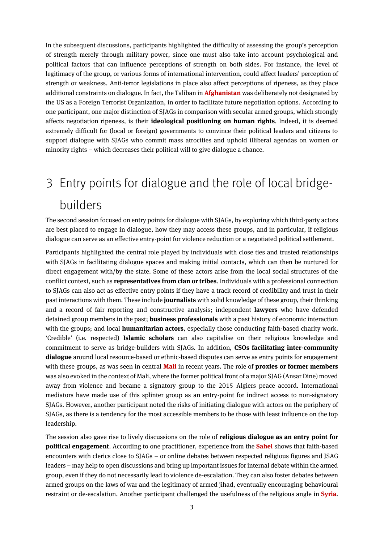In the subsequent discussions, participants highlighted the difficulty of assessing the group's perception of strength merely through military power, since one must also take into account psychological and political factors that can influence perceptions of strength on both sides. For instance, the level of legitimacy of the group, or various forms of international intervention, could affect leaders' perception of strength or weakness. Anti-terror legislations in place also affect perceptions of ripeness, as they place additional constraints on dialogue. In fact, the Taliban in **Afghanistan**was deliberately not designated by the US as a Foreign Terrorist Organization, in order to facilitate future negotiation options. According to one participant, one major distinction of SJAGs in comparison with secular armed groups, which strongly affects negotiation ripeness, is their **ideological positioning on human rights**. Indeed, it is deemed extremely difficult for (local or foreign) governments to convince their political leaders and citizens to support dialogue with SJAGs who commit mass atrocities and uphold illiberal agendas on women or minority rights – which decreases their political will to give dialogue a chance.

# 3 Entry points for dialogue and the role of local bridgebuilders

The second session focused on entry points for dialogue with SJAGs, by exploring which third-party actors are best placed to engage in dialogue, how they may access these groups, and in particular, if religious dialogue can serve as an effective entry-point for violence reduction or a negotiated political settlement.

Participants highlighted the central role played by individuals with close ties and trusted relationships with SJAGs in facilitating dialogue spaces and making initial contacts, which can then be nurtured for direct engagement with/by the state. Some of these actors arise from the local social structures of the conflict context, such as **representatives from clan or tribes**. Individualswith a professional connection to SJAGs can also act as effective entry points if they have a track record of credibility and trust in their past interactionswith them. These include **journalists**with solid knowledge of these group, their thinking and a record of fair reporting and constructive analysis; independent **lawyers** who have defended detained group members in the past; **business professionals** with a past history of economic interaction with the groups; and local **humanitarian actors**, especially those conducting faith-based charity work. 'Credible' (i.e. respected) **Islamic scholars** can also capitalise on their religious knowledge and commitment to serve as bridge-builders with SJAGs. In addition, **CSOs facilitating inter-community dialogue** around local resource-based or ethnic-based disputes can serve as entry points for engagement with these groups, as was seen in central **Mali** in recent years. The role of **proxies or former members** was also evoked in the context of Mali, where the former political front of a major SJAG (Ansar Dine) moved away from violence and became a signatory group to the 2015 Algiers peace accord. International mediators have made use of this splinter group as an entry-point for indirect access to non-signatory SJAGs. However, another participant noted the risks of initiating dialogue with actors on the periphery of SJAGs, as there is a tendency for the most accessible members to be those with least influence on the top leadership.

The session also gave rise to lively discussions on the role of **religious dialogue as an entry point for political engagement**. According to one practitioner, experience from the **Sahel** shows that faith-based encounters with clerics close to SJAGs – or online debates between respected religious figures and JSAG leaders – may help to open discussions and bring up important issues for internal debate within the armed group, even if they do not necessarily lead to violence de-escalation. They can also foster debates between armed groups on the laws of war and the legitimacy of armed jihad, eventually encouraging behavioural restraint or de-escalation. Another participant challenged the usefulness of the religious angle in **Syria**.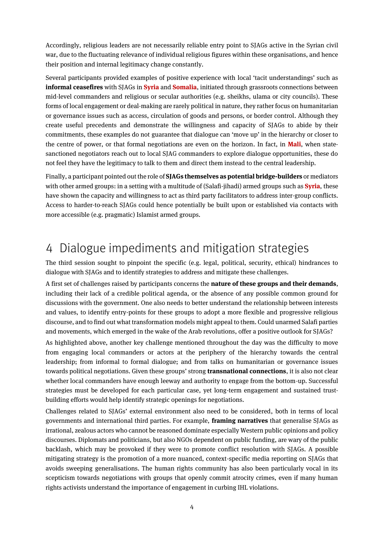Accordingly, religious leaders are not necessarily reliable entry point to SJAGs active in the Syrian civil war, due to the fluctuating relevance of individual religious figures within these organisations, and hence their position and internal legitimacy change constantly.

Several participants provided examples of positive experience with local 'tacit understandings' such as **informal ceasefires** with SJAGs in **Syria** and **Somalia**, initiated through grassroots connections between mid-level commanders and religious or secular authorities (e.g. sheikhs, ulama or city councils). These forms of local engagement or deal-making are rarely political in nature, they rather focus on humanitarian or governance issues such as access, circulation of goods and persons, or border control. Although they create useful precedents and demonstrate the willingness and capacity of SJAGs to abide by their commitments, these examples do not guarantee that dialogue can 'move up' in the hierarchy or closer to the centre of power, or that formal negotiations are even on the horizon. In fact, in **Mali**, when statesanctioned negotiators reach out to local SJAG commanders to explore dialogue opportunities, these do not feel they have the legitimacy to talk to them and direct them instead to the central leadership.

Finally, a participant pointed out the role of **SJAGs themselves as potential bridge-builders** or mediators with other armed groups: in a setting with a multitude of (Salafi-jihadi) armed groups such as **Syria**, these have shown the capacity and willingness to act as third party facilitators to address inter-group conflicts. Access to harder-to-reach SJAGs could hence potentially be built upon or established via contacts with more accessible (e.g. pragmatic) Islamist armed groups.

#### 4 Dialogue impediments and mitigation strategies

The third session sought to pinpoint the specific (e.g. legal, political, security, ethical) hindrances to dialogue with SJAGs and to identify strategies to address and mitigate these challenges.

A first set of challenges raised by participants concerns the **nature of these groups and their demands**, including their lack of a credible political agenda, or the absence of any possible common ground for discussions with the government. One also needs to better understand the relationship between interests and values, to identify entry-points for these groups to adopt a more flexible and progressive religious discourse, and to find out what transformation models might appeal to them. Could unarmed Salafi parties and movements, which emerged in the wake of the Arab revolutions, offer a positive outlook for SJAGs?

As highlighted above, another key challenge mentioned throughout the day was the difficulty to move from engaging local commanders or actors at the periphery of the hierarchy towards the central leadership; from informal to formal dialogue; and from talks on humanitarian or governance issues towards political negotiations. Given these groups' strong **transnational connections**, it is also not clear whether local commanders have enough leeway and authority to engage from the bottom-up. Successful strategies must be developed for each particular case, yet long-term engagement and sustained trustbuilding efforts would help identify strategic openings for negotiations.

Challenges related to SJAGs' external environment also need to be considered, both in terms of local governments and international third parties. For example, **framing narratives** that generalise SJAGs as irrational, zealous actors who cannot be reasoned dominate especially Western public opinions and policy discourses. Diplomats and politicians, but also NGOs dependent on public funding, are wary of the public backlash, which may be provoked if they were to promote conflict resolution with SJAGs. A possible mitigating strategy is the promotion of a more nuanced, context-specific media reporting on SJAGs that avoids sweeping generalisations. The human rights community has also been particularly vocal in its scepticism towards negotiations with groups that openly commit atrocity crimes, even if many human rights activists understand the importance of engagement in curbing IHL violations.